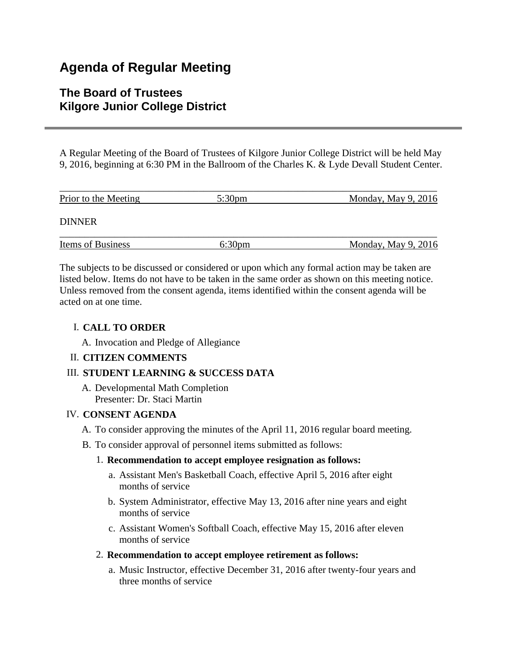# **Agenda of Regular Meeting**

## **The Board of Trustees Kilgore Junior College District**

A Regular Meeting of the Board of Trustees of Kilgore Junior College District will be held May 9, 2016, beginning at 6:30 PM in the Ballroom of the Charles K. & Lyde Devall Student Center.

| Prior to the Meeting | $5:30 \text{pm}$   | Monday, May $9, 2016$ |
|----------------------|--------------------|-----------------------|
| <b>DINNER</b>        |                    |                       |
| Items of Business    | 6:30 <sub>pm</sub> | Monday, May $9, 2016$ |

The subjects to be discussed or considered or upon which any formal action may be taken are listed below. Items do not have to be taken in the same order as shown on this meeting notice. Unless removed from the consent agenda, items identified within the consent agenda will be acted on at one time.

## I. **CALL TO ORDER**

A. Invocation and Pledge of Allegiance

## II. **CITIZEN COMMENTS**

## III. **STUDENT LEARNING & SUCCESS DATA**

A. Developmental Math Completion Presenter: Dr. Staci Martin

#### IV. **CONSENT AGENDA**

- A. To consider approving the minutes of the April 11, 2016 regular board meeting.
- B. To consider approval of personnel items submitted as follows:

## 1. **Recommendation to accept employee resignation as follows:**

- a. Assistant Men's Basketball Coach, effective April 5, 2016 after eight months of service
- b. System Administrator, effective May 13, 2016 after nine years and eight months of service
- c. Assistant Women's Softball Coach, effective May 15, 2016 after eleven months of service
- 2. **Recommendation to accept employee retirement as follows:**
	- a. Music Instructor, effective December 31, 2016 after twenty-four years and three months of service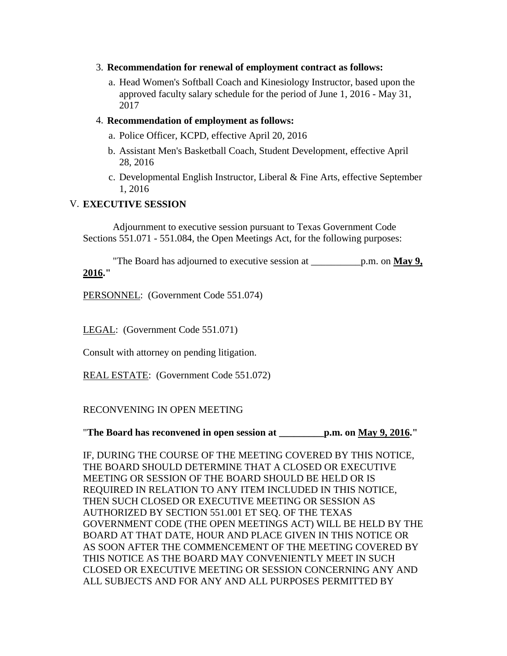- 3. **Recommendation for renewal of employment contract as follows:**
	- a. Head Women's Softball Coach and Kinesiology Instructor, based upon the approved faculty salary schedule for the period of June 1, 2016 - May 31, 2017

#### 4. **Recommendation of employment as follows:**

- a. Police Officer, KCPD, effective April 20, 2016
- b. Assistant Men's Basketball Coach, Student Development, effective April 28, 2016
- c. Developmental English Instructor, Liberal & Fine Arts, effective September 1, 2016

#### V. **EXECUTIVE SESSION**

 Adjournment to executive session pursuant to Texas Government Code Sections 551.071 - 551.084, the Open Meetings Act, for the following purposes:

 "The Board has adjourned to executive session at \_\_\_\_\_\_\_\_\_\_p.m. on **May 9, 2016."**

PERSONNEL: (Government Code 551.074)

LEGAL: (Government Code 551.071)

Consult with attorney on pending litigation.

REAL ESTATE: (Government Code 551.072)

#### RECONVENING IN OPEN MEETING

"**The Board has reconvened in open session at \_\_\_\_\_\_\_\_\_p.m. on May 9, 2016."**

IF, DURING THE COURSE OF THE MEETING COVERED BY THIS NOTICE, THE BOARD SHOULD DETERMINE THAT A CLOSED OR EXECUTIVE MEETING OR SESSION OF THE BOARD SHOULD BE HELD OR IS REQUIRED IN RELATION TO ANY ITEM INCLUDED IN THIS NOTICE, THEN SUCH CLOSED OR EXECUTIVE MEETING OR SESSION AS AUTHORIZED BY SECTION 551.001 ET SEQ. OF THE TEXAS GOVERNMENT CODE (THE OPEN MEETINGS ACT) WILL BE HELD BY THE BOARD AT THAT DATE, HOUR AND PLACE GIVEN IN THIS NOTICE OR AS SOON AFTER THE COMMENCEMENT OF THE MEETING COVERED BY THIS NOTICE AS THE BOARD MAY CONVENIENTLY MEET IN SUCH CLOSED OR EXECUTIVE MEETING OR SESSION CONCERNING ANY AND ALL SUBJECTS AND FOR ANY AND ALL PURPOSES PERMITTED BY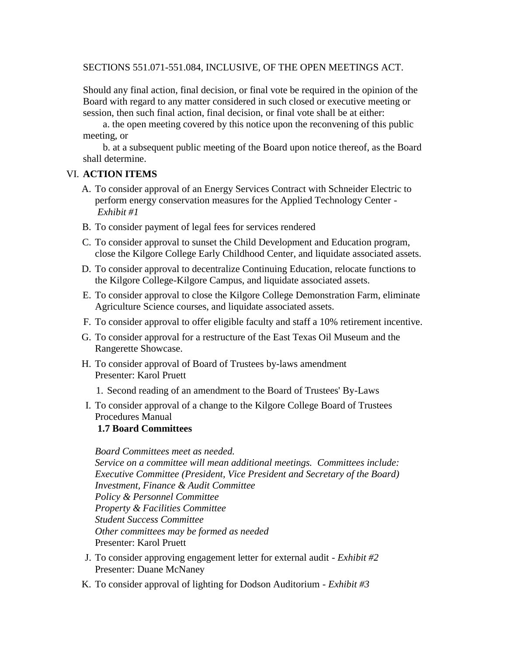SECTIONS 551.071-551.084, INCLUSIVE, OF THE OPEN MEETINGS ACT.

Should any final action, final decision, or final vote be required in the opinion of the Board with regard to any matter considered in such closed or executive meeting or session, then such final action, final decision, or final vote shall be at either:

 a. the open meeting covered by this notice upon the reconvening of this public meeting, or

 b. at a subsequent public meeting of the Board upon notice thereof, as the Board shall determine.

#### VI. **ACTION ITEMS**

- A. To consider approval of an Energy Services Contract with Schneider Electric to perform energy conservation measures for the Applied Technology Center - *Exhibit #1*
- B. To consider payment of legal fees for services rendered
- C. To consider approval to sunset the Child Development and Education program, close the Kilgore College Early Childhood Center, and liquidate associated assets.
- D. To consider approval to decentralize Continuing Education, relocate functions to the Kilgore College-Kilgore Campus, and liquidate associated assets.
- E. To consider approval to close the Kilgore College Demonstration Farm, eliminate Agriculture Science courses, and liquidate associated assets.
- F. To consider approval to offer eligible faculty and staff a 10% retirement incentive.
- G. To consider approval for a restructure of the East Texas Oil Museum and the Rangerette Showcase.
- H. To consider approval of Board of Trustees by-laws amendment Presenter: Karol Pruett
	- 1. Second reading of an amendment to the Board of Trustees' By-Laws
- I. To consider approval of a change to the Kilgore College Board of Trustees Procedures Manual

## **1.7 Board Committees**

*Board Committees meet as needed. Service on a committee will mean additional meetings. Committees include: Executive Committee (President, Vice President and Secretary of the Board) Investment, Finance & Audit Committee Policy & Personnel Committee Property & Facilities Committee Student Success Committee Other committees may be formed as needed* Presenter: Karol Pruett

- J. To consider approving engagement letter for external audit *Exhibit #2* Presenter: Duane McNaney
- K. To consider approval of lighting for Dodson Auditorium *Exhibit #3*